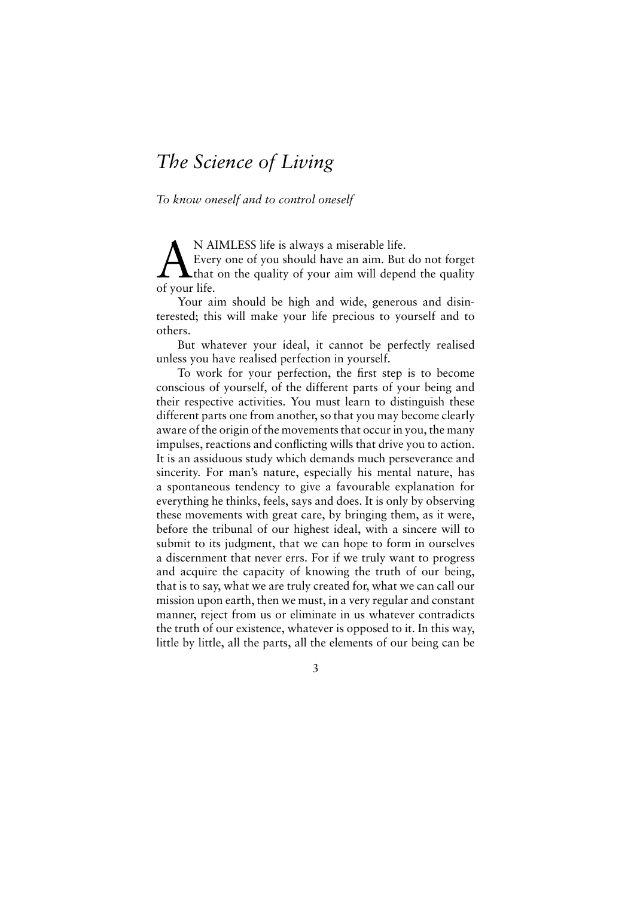## *The Science of Living*

*To know oneself and to control oneself*

N AIMLESS life is always a miserable life.<br>Every one of you should have an aim. But<br>that on the quality of your aim will depen Every one of you should have an aim. But do not forget **L** that on the quality of your aim will depend the quality of your life.

Your aim should be high and wide, generous and disinterested; this will make your life precious to yourself and to others.

But whatever your ideal, it cannot be perfectly realised unless you have realised perfection in yourself.

To work for your perfection, the first step is to become conscious of yourself, of the different parts of your being and their respective activities. You must learn to distinguish these different parts one from another, so that you may become clearly aware of the origin of the movements that occur in you, the many impulses, reactions and conflicting wills that drive you to action. It is an assiduous study which demands much perseverance and sincerity. For man's nature, especially his mental nature, has a spontaneous tendency to give a favourable explanation for everything he thinks, feels, says and does. It is only by observing these movements with great care, by bringing them, as it were, before the tribunal of our highest ideal, with a sincere will to submit to its judgment, that we can hope to form in ourselves a discernment that never errs. For if we truly want to progress and acquire the capacity of knowing the truth of our being, that is to say, what we are truly created for, what we can call our mission upon earth, then we must, in a very regular and constant manner, reject from us or eliminate in us whatever contradicts the truth of our existence, whatever is opposed to it. In this way, little by little, all the parts, all the elements of our being can be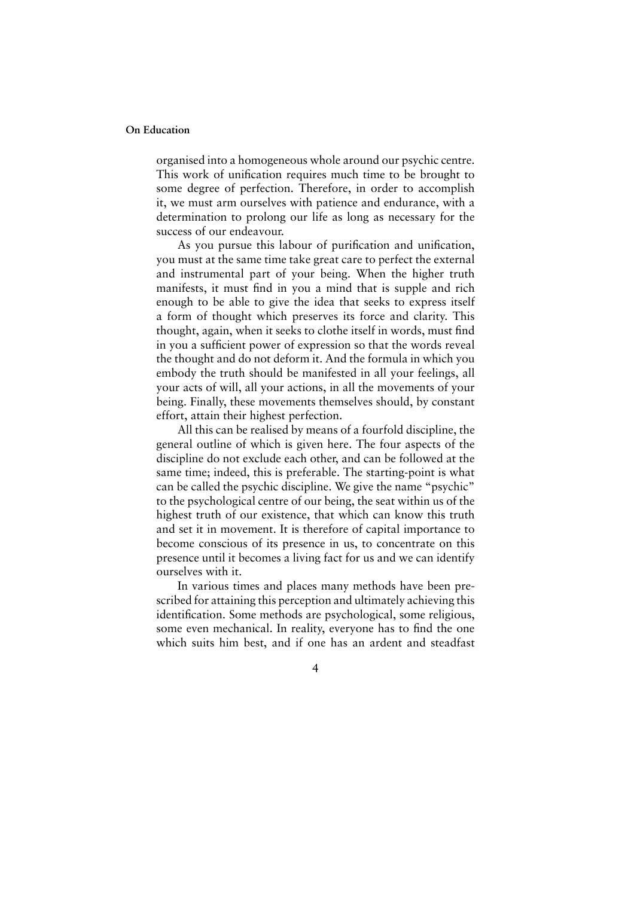## **On Education**

organised into a homogeneous whole around our psychic centre. This work of unification requires much time to be brought to some degree of perfection. Therefore, in order to accomplish it, we must arm ourselves with patience and endurance, with a determination to prolong our life as long as necessary for the success of our endeavour.

As you pursue this labour of purification and unification, you must at the same time take great care to perfect the external and instrumental part of your being. When the higher truth manifests, it must find in you a mind that is supple and rich enough to be able to give the idea that seeks to express itself a form of thought which preserves its force and clarity. This thought, again, when it seeks to clothe itself in words, must find in you a sufficient power of expression so that the words reveal the thought and do not deform it. And the formula in which you embody the truth should be manifested in all your feelings, all your acts of will, all your actions, in all the movements of your being. Finally, these movements themselves should, by constant effort, attain their highest perfection.

All this can be realised by means of a fourfold discipline, the general outline of which is given here. The four aspects of the discipline do not exclude each other, and can be followed at the same time; indeed, this is preferable. The starting-point is what can be called the psychic discipline. We give the name "psychic" to the psychological centre of our being, the seat within us of the highest truth of our existence, that which can know this truth and set it in movement. It is therefore of capital importance to become conscious of its presence in us, to concentrate on this presence until it becomes a living fact for us and we can identify ourselves with it.

In various times and places many methods have been prescribed for attaining this perception and ultimately achieving this identification. Some methods are psychological, some religious, some even mechanical. In reality, everyone has to find the one which suits him best, and if one has an ardent and steadfast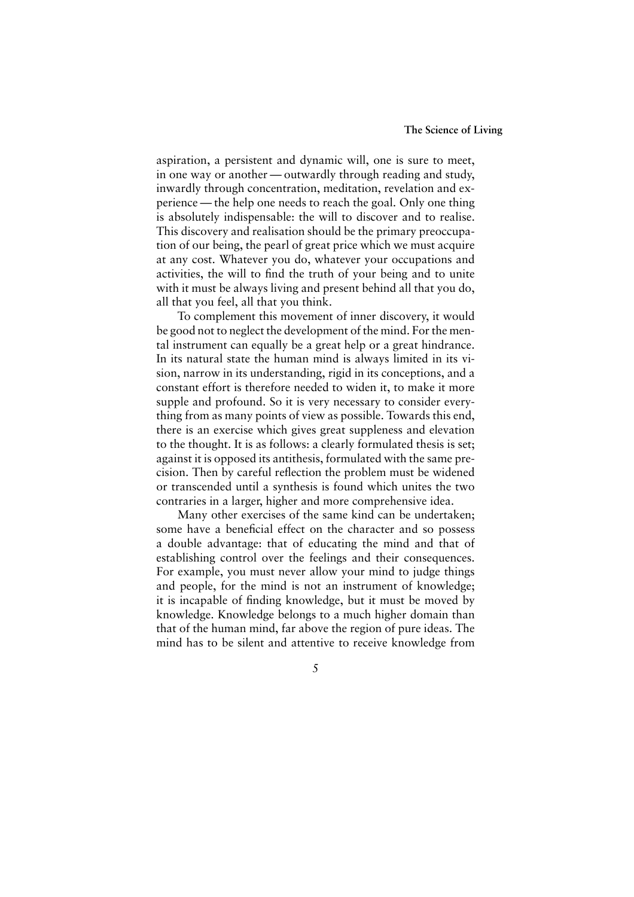aspiration, a persistent and dynamic will, one is sure to meet, in one way or another — outwardly through reading and study, inwardly through concentration, meditation, revelation and experience — the help one needs to reach the goal. Only one thing is absolutely indispensable: the will to discover and to realise. This discovery and realisation should be the primary preoccupation of our being, the pearl of great price which we must acquire at any cost. Whatever you do, whatever your occupations and activities, the will to find the truth of your being and to unite with it must be always living and present behind all that you do, all that you feel, all that you think.

To complement this movement of inner discovery, it would be good not to neglect the development of the mind. For the mental instrument can equally be a great help or a great hindrance. In its natural state the human mind is always limited in its vision, narrow in its understanding, rigid in its conceptions, and a constant effort is therefore needed to widen it, to make it more supple and profound. So it is very necessary to consider everything from as many points of view as possible. Towards this end, there is an exercise which gives great suppleness and elevation to the thought. It is as follows: a clearly formulated thesis is set; against it is opposed its antithesis, formulated with the same precision. Then by careful reflection the problem must be widened or transcended until a synthesis is found which unites the two contraries in a larger, higher and more comprehensive idea.

Many other exercises of the same kind can be undertaken; some have a beneficial effect on the character and so possess a double advantage: that of educating the mind and that of establishing control over the feelings and their consequences. For example, you must never allow your mind to judge things and people, for the mind is not an instrument of knowledge; it is incapable of finding knowledge, but it must be moved by knowledge. Knowledge belongs to a much higher domain than that of the human mind, far above the region of pure ideas. The mind has to be silent and attentive to receive knowledge from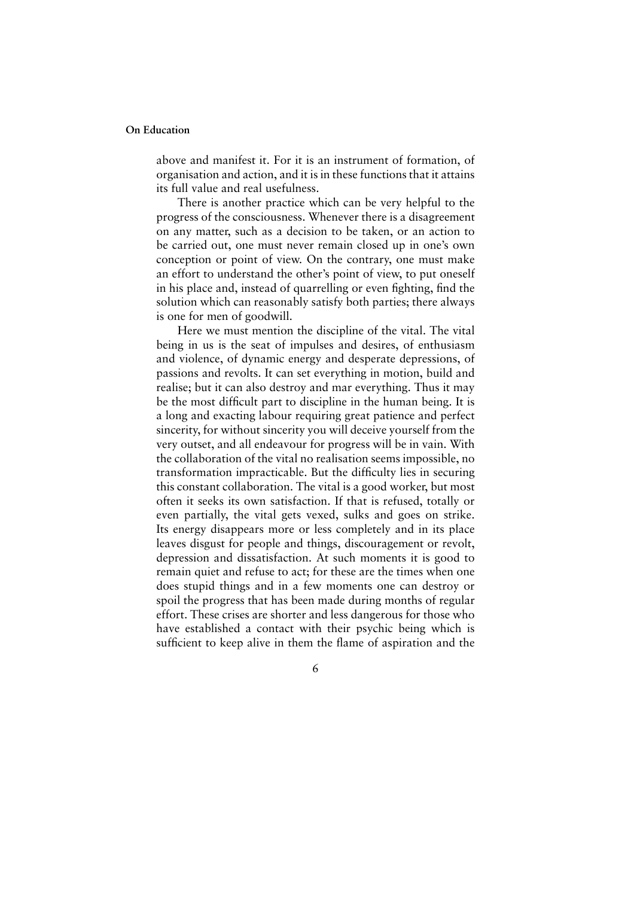## **On Education**

above and manifest it. For it is an instrument of formation, of organisation and action, and it is in these functions that it attains its full value and real usefulness.

There is another practice which can be very helpful to the progress of the consciousness. Whenever there is a disagreement on any matter, such as a decision to be taken, or an action to be carried out, one must never remain closed up in one's own conception or point of view. On the contrary, one must make an effort to understand the other's point of view, to put oneself in his place and, instead of quarrelling or even fighting, find the solution which can reasonably satisfy both parties; there always is one for men of goodwill.

Here we must mention the discipline of the vital. The vital being in us is the seat of impulses and desires, of enthusiasm and violence, of dynamic energy and desperate depressions, of passions and revolts. It can set everything in motion, build and realise; but it can also destroy and mar everything. Thus it may be the most difficult part to discipline in the human being. It is a long and exacting labour requiring great patience and perfect sincerity, for without sincerity you will deceive yourself from the very outset, and all endeavour for progress will be in vain. With the collaboration of the vital no realisation seems impossible, no transformation impracticable. But the difficulty lies in securing this constant collaboration. The vital is a good worker, but most often it seeks its own satisfaction. If that is refused, totally or even partially, the vital gets vexed, sulks and goes on strike. Its energy disappears more or less completely and in its place leaves disgust for people and things, discouragement or revolt, depression and dissatisfaction. At such moments it is good to remain quiet and refuse to act; for these are the times when one does stupid things and in a few moments one can destroy or spoil the progress that has been made during months of regular effort. These crises are shorter and less dangerous for those who have established a contact with their psychic being which is sufficient to keep alive in them the flame of aspiration and the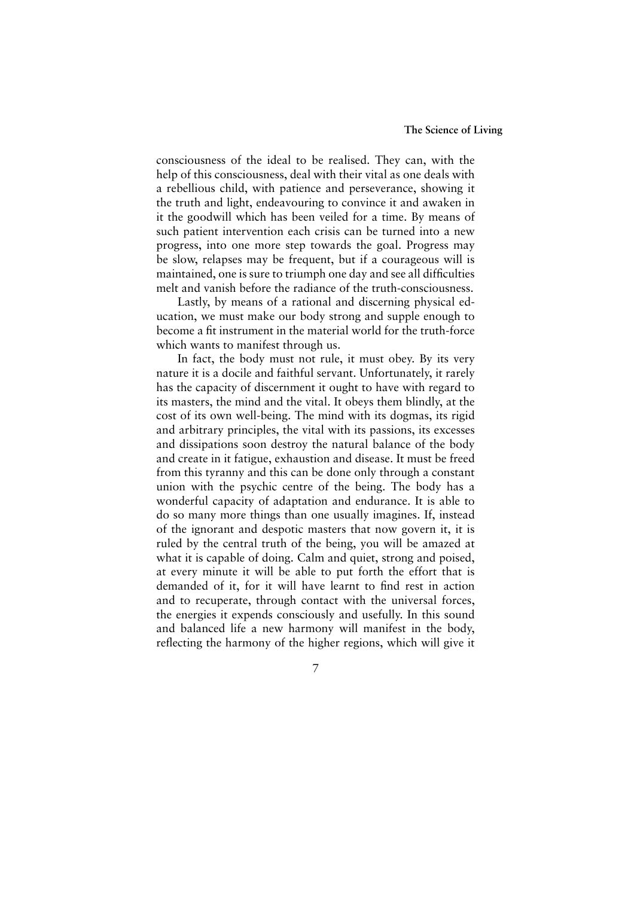consciousness of the ideal to be realised. They can, with the help of this consciousness, deal with their vital as one deals with a rebellious child, with patience and perseverance, showing it the truth and light, endeavouring to convince it and awaken in it the goodwill which has been veiled for a time. By means of such patient intervention each crisis can be turned into a new progress, into one more step towards the goal. Progress may be slow, relapses may be frequent, but if a courageous will is maintained, one is sure to triumph one day and see all difficulties melt and vanish before the radiance of the truth-consciousness.

Lastly, by means of a rational and discerning physical education, we must make our body strong and supple enough to become a fit instrument in the material world for the truth-force which wants to manifest through us.

In fact, the body must not rule, it must obey. By its very nature it is a docile and faithful servant. Unfortunately, it rarely has the capacity of discernment it ought to have with regard to its masters, the mind and the vital. It obeys them blindly, at the cost of its own well-being. The mind with its dogmas, its rigid and arbitrary principles, the vital with its passions, its excesses and dissipations soon destroy the natural balance of the body and create in it fatigue, exhaustion and disease. It must be freed from this tyranny and this can be done only through a constant union with the psychic centre of the being. The body has a wonderful capacity of adaptation and endurance. It is able to do so many more things than one usually imagines. If, instead of the ignorant and despotic masters that now govern it, it is ruled by the central truth of the being, you will be amazed at what it is capable of doing. Calm and quiet, strong and poised, at every minute it will be able to put forth the effort that is demanded of it, for it will have learnt to find rest in action and to recuperate, through contact with the universal forces, the energies it expends consciously and usefully. In this sound and balanced life a new harmony will manifest in the body, reflecting the harmony of the higher regions, which will give it